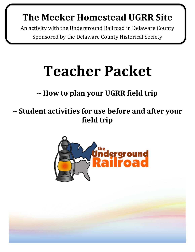### **The Meeker Homestead UGRR Site**

An activity with the Underground Railroad in Delaware County Sponsored by the Delaware County Historical Society

# **Teacher Packet**

### **~ How to plan your UGRR field trip**

**~ Student activities for use before and after your field trip**

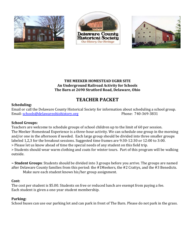





#### **THE MEEKER HOMESTEAD UGRR SITE An Underground Railroad Activity for Schools The Barn at 2690 Stratford Road, Delaware, Ohio**

#### **TEACHER PACKET**

#### **Scheduling:**

Email or call the Delaware County Historical Society for information about scheduling a school group. Email: [schools@delawareohiohistory.org](mailto:schools@delawareohiohistory.org) Phone: 740-369-3831

#### **School Groups:**

Teachers are welcome to schedule groups of school children up to the limit of 60 per session. The Meeker Homestead Experience is a three-hour activity. We can schedule one group in the morning and/or one in the afternoon if needed. Each large group should be divided into three smaller groups labeled 1,2,3 for the breakout sessions. Suggested time frames are 9:30-12:30 or 12:00 to 3:00. > Please let us know ahead of time the special needs of any student on this field trip.

> Students should wear warm clothing and coats for winter tours. Part of this program will be walking outside.

**~ Student Groups**: Students should be divided into 3 groups before you arrive. The groups are named after Delaware County families from this period: the #1Meekers, the #2 Crattys, and the #3 Benedicts.

Make sure each student knows his/her group assignment.

#### **Cost:**

The cost per student is \$5.00. Students on free or reduced lunch are exempt from paying a fee. Each student is given a one-year student membership.

#### **Parking:**

School buses can use our parking lot and can park in front of The Barn. Please do not park in the grass.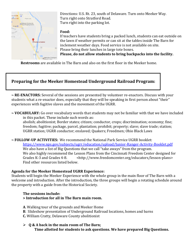

Directions: U.S. Rt. 23, south of Delaware. Turn onto Meeker Way. Turn right onto Stratford Road. Turn right into the parking lot.

#### **Food:**

If teachers have students bring a packed lunch, students can eat outside on the lawn if weather permits or can sit at the tables inside The Barn for inclement weather days. Food service is not available on site. Please bring their lunches in large tote boxes.

**Please, do not allow students to bring backpacks into the facility.**

 **Restrooms** are available in The Barn and also on the first floor in the Meeker home.

#### **Preparing for the Meeker Homestead Underground Railroad Program:**

**~ RE-ENACTORS:** Several of the sessions are presented by volunteer re-enactors. Discuss with your students what a re-enactor does, especially that they will be speaking in first person about "their" experiences with fugitive slaves and the movement of the UGRR.

**~ VOCABULARY:** Go over vocabulary words that students may not be familiar with that we have included in this packet. These include such words as:

abolish; abolitionist; Border states; citizen; conductor, crops; discrimination; economy; fine; freedom; fugitive; package, parcel, plantation; prohibit; property; slave; slave trade; station; UGRR station; UGRR conductor; enslaved; Quakers; Freedmen; Ohio Black Laws

#### **~ FOLLOW-UP ACTIVITIES:** We recommend the National Park Service UGRR booklet:

<https://www.nps.gov/subjects/ugrr/education/upload/Junior-Ranger-Activity-Booklet.pdf> We also have a list of Big Questions that we call "take aways" from the program. We also highly recommend the Lesson Plans from the Cincinnati Freedom Center designed for Grades K-3 and Grades 4-8. <http://www.freedomcenter.org/educators/lesson-plans> Find other resources listed below.

#### **Agenda for the Meeker Homestead UGRR Experience:**

Students will begin the Meeker Experience with the whole group in the main floor of The Barn with a welcome and introduction. After the introduction, the three groups will begin a rotating schedule around the property with a guide from the Historical Society.

#### **The sessions include: > Introduction for all in The Barn main room.**

- **A**. Walking tour of the grounds and Meeker Home
- **B**. Slideshow presentation of Underground Railroad locations, homes and barns
- **C.** William Cratty, Delaware County abolitionist

#### ➢ **Q & A back in the main room of The Barn; Time allotted for students to ask questions. We have prepared Big Questions.**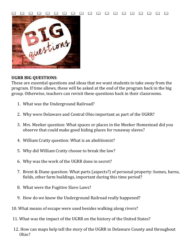

#### **UGRR BIG QUESTIONS**:

These are essential questions and ideas that we want students to take away from the program. If time allows, these will be asked at the end of the program back in the big group. Otherwise, teachers can revisit these questions back in their classrooms.

- 1. What was the Underground Railroad?
- 2. Why were Delaware and Central Ohio important as part of the UGRR?
- 3. Mrs. Meeker question: What spaces or places in the Meeker Homestead did you observe that could make good hiding places for runaway slaves?
- 4. William Cratty question: What is an abolitionist?
- 5. Why did William Cratty choose to break the law?
- 6. Why was the work of the UGRR done in secret?
- 7. Brent & Diane question: What parts (aspects?) of personal property: homes, barns, fields, other farm buildings, important during this time period?
- 8. What were the Fugitive Slave Laws?
- 9. How do we know the Underground Railroad really happened?
- 10. What means of escape were used besides walking along rivers?
- 11. What was the impact of the UGRR on the history of the United States?
- 12. How can maps help tell the story of the UGRR in Delaware County and throughout Ohio?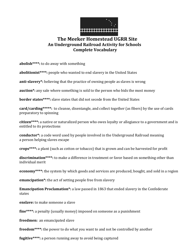

#### **The Meeker Homestead UGRR Site An Underground Railroad Activity for Schools Complete Vocabulary**

**abolish\*\*\*\*:** to do away with something

**abolitionist\*\*\*\*:** people who wanted to end slavery in the United States

**anti-slavery\*:** believing that the practice of owning people as slaves is wrong

**auction\*:** any sale where something is sold to the person who bids the most money

**border states\*\*\*\*:** slave states that did not secede from the United States

**card/carding\*\*\*\*\*:** to cleanse, disentangle, and collect together (as fibers) by the use of cards preparatory to spinning

**citizen\*\*\*\*:** a native or naturalized person who owes loyalty or allegiance to a government and is entitled to its protections

**conductor\*:** a code word used by people involved in the Underground Railroad meaning a person helping slaves escape

**crops\*\*\*\*:** a plant (such as cotton or tobacco) that is grown and can be harvested for profit

**discrimination\*\*\*\*:** to make a difference in treatment or favor based on something other than individual merit

**economy\*\*\*\*:** the system by which goods and services are produced, bought, and sold in a region

**emancipation\*:** the act of setting people free from slavery

**Emancipation Proclamation\*:** a law passed in 1863 that ended slavery in the Confederate states

**enslave:** to make someone a slave

**fine\*\*\*\*:** a penalty (usually money) imposed on someone as a punishment

**freedmen:** an emancipated slave

**freedom\*\*\*\*:** the power to do what you want to and not be controlled by another

**fugitive\*\*\*\*:** a person running away to avoid being captured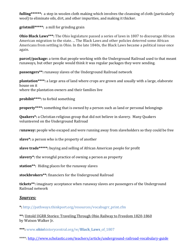**fulling\*\*\*\*\*\*:** a step in woolen cloth making which involves the cleansing of cloth (particularly wool) to eliminate oils, dirt, and other impurities, and making it thicker.

**gristmill\*\*\*\*\*:** a mill for grinding grain

**Ohio Black Laws\*\*\*:** The Ohio legislature passed a series of laws in 1807 to discourage African American migration to the state. ... The Black Laws and other policies deterred some African Americans from settling in Ohio. In the late 1840s, the Black Laws became a political issue once again.

**parcel/package:** a term that people working with the Underground Railroad used to that meant runaways, but other people would think it was regular packages they were sending.

**passengers\*\*:** runaway slaves of the Underground Railroad network

**plantation\*\*\*\*:** a large area of land where crops are grown and usually with a large, elaborate house on it where the plantation owners and their families live

**prohibit\*\*\*\*:** to forbid something

**property\*\*\*\*:** something that is owned by a person such as land or personal belongings

**Quakers\*:** a Christian religious group that did not believe in slavery. Many Quakers volunteered on the Underground Railroad

r**unaway:** people who escaped and were running away from slaveholders so they could be free

**slave\*:** a person who is the property of another

**slave trade\*\*\*\*\*:** buying and selling of African American people for profit

**slavery\*:** the wrongful practice of owning a person as property

**station\*\*:** Hiding places for the runaway slaves

**stockbrokers\*\*:** financiers for the Underground Railroad

**tickets\*\*:** imaginary acceptance when runaway slaves are passengers of the Underground Railroad network

#### *Sources:*

**\*:** http://pathways.thinkport.org/resources/vocabugrr\_print.cfm

**\*\*:** Untold UGRR Stories: Traveling Through Ohio Railway to Freedom 1820-1860 by Watson Walker Jr.

**\*\*\*:** www.**ohio**historycentral.org/w/**Black**\_**Laws**\_of\_1807

\*\*\*\*:<http://www.scholastic.com/teachers/article/underground-railroad-vocabulary-guide>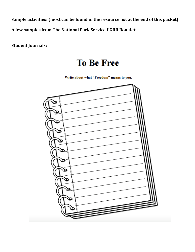**Sample activities: (most can be found in the resource list at the end of this packet) A few samples from The National Park Service UGRR Booklet:**

**Student Journals:**

### **To Be Free**

Write about what "Freedom" means to you.

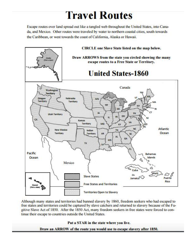## **Travel Routes**

Escape routes over land spread out like a tangled web throughout the United States, into Canada, and Mexico. Other routes were traveled by water to northern coastal cities, south towards the Caribbean, or west towards the coast of California, Alaska or Hawaii.



Although many states and territories had banned slavery by 1860, freedom seekers who had escaped to free states and territories could be captured by slave catchers and returned to slavery because of the Fugitive Slave Act of 1850. After the 1850 Act, many freedom seekers in free states were forced to continue their escape to countries outside the United States.

#### Put a STAR in the state where you live.

Draw an ARROW of the route you would use to escape slavery after 1850.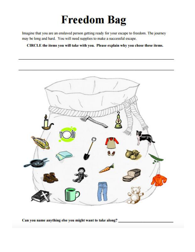# **Freedom Bag**

Imagine that you are an enslaved person getting ready for your escape to freedom. The journey may be long and hard. You will need supplies to make a successful escape.

CIRCLE the items you will take with you. Please explain why you chose these items.



Can you name anything else you might want to take along?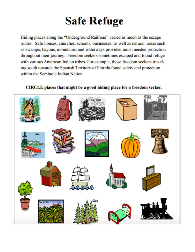# **Safe Refuge**

Hiding places along the "Underground Railroad" varied as much as the escape routes. Safe-houses, churches, schools, businesses, as well as natural areas such as swamps, bayous, mountains, and waterways provided much needed protection throughout their journey. Freedom seekers sometimes escaped and found refuge with various American Indian tribes. For example, those freedom seekers traveling south towards the Spanish Territory of Florida found safety and protection within the Seminole Indian Nation.

#### CIRCLE places that might be a good hiding place for a freedom seeker.